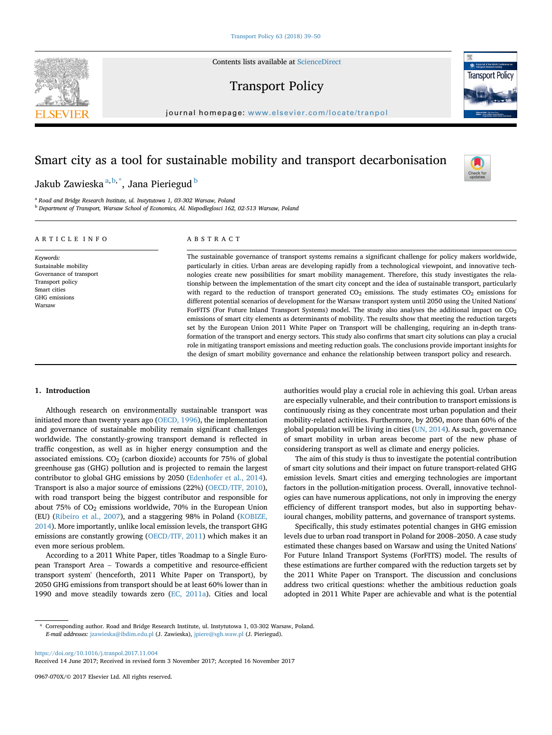Contents lists available at [ScienceDirect](www.sciencedirect.com/science/journal/0967070X)

# Transport Policy



## Smart city as a tool for sustainable mobility and transport decarbonisation

Jakub Zawieska <sup>a,b,\*</sup>, Jana Pieriegud <sup>b</sup>

<sup>a</sup> Road and Bridge Research Institute, ul. Instytutowa 1, 03-302 Warsaw, Poland <sup>b</sup> Department of Transport, Warsaw School of Economics, Al. Niepodleglosci 162, 02-513 Warsaw, Poland

## ARTICLE INFO

Keywords: Sustainable mobility Governance of transport Transport policy Smart cities GHG emissions Warsaw

### ABSTRACT

The sustainable governance of transport systems remains a significant challenge for policy makers worldwide, particularly in cities. Urban areas are developing rapidly from a technological viewpoint, and innovative technologies create new possibilities for smart mobility management. Therefore, this study investigates the relationship between the implementation of the smart city concept and the idea of sustainable transport, particularly with regard to the reduction of transport generated  $CO<sub>2</sub>$  emissions. The study estimates  $CO<sub>2</sub>$  emissions for different potential scenarios of development for the Warsaw transport system until 2050 using the United Nations' ForFITS (For Future Inland Transport Systems) model. The study also analyses the additional impact on CO<sub>2</sub> emissions of smart city elements as determinants of mobility. The results show that meeting the reduction targets set by the European Union 2011 White Paper on Transport will be challenging, requiring an in-depth transformation of the transport and energy sectors. This study also confirms that smart city solutions can play a crucial role in mitigating transport emissions and meeting reduction goals. The conclusions provide important insights for the design of smart mobility governance and enhance the relationship between transport policy and research.

#### 1. Introduction

Although research on environmentally sustainable transport was initiated more than twenty years ago (OECD, 1996), the implementation and governance of sustainable mobility remain significant challenges worldwide. The constantly-growing transport demand is reflected in traffic congestion, as well as in higher energy consumption and the associated emissions.  $CO<sub>2</sub>$  (carbon dioxide) accounts for 75% of global greenhouse gas (GHG) pollution and is projected to remain the largest contributor to global GHG emissions by 2050 (Edenhofer et al., 2014). Transport is also a major source of emissions (22%) (OECD/ITF, 2010), with road transport being the biggest contributor and responsible for about 75% of  $CO<sub>2</sub>$  emissions worldwide, 70% in the European Union (EU) (Ribeiro et al., 2007), and a staggering 98% in Poland (KOBIZE, 2014). More importantly, unlike local emission levels, the transport GHG emissions are constantly growing (OECD/ITF, 2011) which makes it an<br>even more serious problem.<br>According to a 2011 White Paper, titles 'Roadmap to a Single Euro-<br>pean Transport Area – Towards a competitive and resource-eff even more serious problem.

According to a 2011 White Paper, titles 'Roadmap to a Single Eurotransport system' (henceforth, 2011 White Paper on Transport), by 2050 GHG emissions from transport should be at least 60% lower than in 1990 and move steadily towards zero (EC, 2011a). Cities and local authorities would play a crucial role in achieving this goal. Urban areas are especially vulnerable, and their contribution to transport emissions is continuously rising as they concentrate most urban population and their mobility-related activities. Furthermore, by 2050, more than 60% of the global population will be living in cities (UN, 2014). As such, governance of smart mobility in urban areas become part of the new phase of considering transport as well as climate and energy policies.

The aim of this study is thus to investigate the potential contribution of smart city solutions and their impact on future transport-related GHG emission levels. Smart cities and emerging technologies are important factors in the pollution-mitigation process. Overall, innovative technologies can have numerous applications, not only in improving the energy efficiency of different transport modes, but also in supporting behavioural changes, mobility patterns, and governance of transport systems. efficiency of different transport modes, but also in supporting behavioural changes, mobility patterns, and governance of transport systems.<br>Specifically, this study estimates potential changes in GHG emission<br>levels due t

Specifically, this study estimates potential changes in GHG emission estimated these changes based on Warsaw and using the United Nations' For Future Inland Transport Systems (ForFITS) model. The results of these estimations are further compared with the reduction targets set by the 2011 White Paper on Transport. The discussion and conclusions address two critical questions: whether the ambitious reduction goals adopted in 2011 White Paper are achievable and what is the potential

<https://doi.org/10.1016/j.tranpol.2017.11.004>

Received 14 June 2017; Received in revised form 3 November 2017; Accepted 16 November 2017

0967-070X/© 2017 Elsevier Ltd. All rights reserved.





<sup>\*</sup> Corresponding author. Road and Bridge Research Institute, ul. Instytutowa 1, 03-302 Warsaw, Poland. E-mail addresses: [jzawieska@ibdim.edu.pl](mailto:jzawieska@ibdim.edu.pl) (J. Zawieska), [jpiere@sgh.waw.pl](mailto:jpiere@sgh.waw.pl) (J. Pieriegud).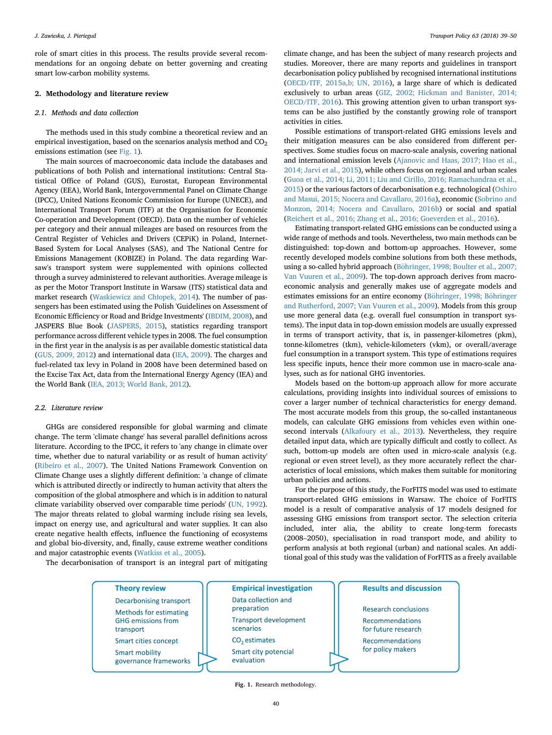role of smart cities in this process. The results provide several recommendations for an ongoing debate on better governing and creating smart low-carbon mobility systems.

#### 2. Methodology and literature review

#### 2.1. Methods and data collection

The methods used in this study combine a theoretical review and an empirical investigation, based on the scenarios analysis method and  $CO<sub>2</sub>$ emissions estimation (see Fig. 1).

The main sources of macroeconomic data include the databases and publications of both Polish and international institutions: Central Statistical Office of Poland (GUS), Eurostat, European Environmental Agency (EEA), World Bank, Intergovernmental Panel on Climate Change (IPCC), United Nations Economic Commission for Europe (UNECE), and International Transport Forum (ITF) at the Organisation for Economic Co-operation and Development (OECD). Data on the number of vehicles per category and their annual mileages are based on resources from the Central Register of Vehicles and Drivers (CEPiK) in Poland, Internet-Based System for Local Analyses (SAS), and The National Centre for Emissions Management (KOBIZE) in Poland. The data regarding Warsaw's transport system were supplemented with opinions collected through a survey administered to relevant authorities. Average mileage is as per the Motor Transport Institute in Warsaw (ITS) statistical data and market research (Waskiewicz and Chłopek, 2014). The number of passengers has been estimated using the Polish 'Guidelines on Assessment of Economic Efficiency or Road and Bridge Investments' (IBDIM, 2008), and JASPERS Blue Book (JASPERS, 2015), statistics regarding transport performance across different vehicle types in 2008. The fuel consumption in the first year in the analysis is as per available domestic statistical data (GUS, 2009, 2012) and international data (IEA, 2009). The charges and fuel-related tax levy in Poland in 2008 have been determined based on the Excise Tax Act, data from the International Energy Agency (IEA) and the World Bank (IEA, 2013; World Bank, 2012).

#### 2.2. Literature review

GHGs are considered responsible for global warming and climate change. The term 'climate change' has several parallel definitions across literature. According to the IPCC, it refers to 'any change in climate over time, whether due to natural variability or as result of human activity' (Ribeiro et al., 2007). The United Nations Framework Convention on Climate Change uses a slightly different definition: 'a change of climate which is attributed directly or indirectly to human activity that alters the composition of the global atmosphere and which is in addition to natural climate variability observed over comparable time periods' (UN, 1992). The major threats related to global warming include rising sea levels, impact on energy use, and agricultural and water supplies. It can also create negative health effects, influence the functioning of ecosystems and global bio-diversity, and, finally, cause extreme weather conditions and major catastrophic events (Watkiss et al., 2005).

climate change, and has been the subject of many research projects and studies. Moreover, there are many reports and guidelines in transport decarbonisation policy published by recognised international institutions (OECD/ITF, 2015a,b; UN, 2016), a large share of which is dedicated exclusively to urban areas (GIZ, 2002; Hickman and Banister, 2014; OECD/ITF, 2016). This growing attention given to urban transport systems can be also justified by the constantly growing role of transport activities in cities.

Possible estimations of transport-related GHG emissions levels and their mitigation measures can be also considered from different perspectives. Some studies focus on macro-scale analysis, covering national and international emission levels (Ajanovic and Haas, 2017; Hao et al., 2014; Jarvi et al., 2015), while others focus on regional and urban scales (Guoa et al., 2014; Li, 2011; Liu and Cirillo, 2016; Ramachandraa et al., 2015) or the various factors of decarbonisation e.g. technological (Oshiro and Masui, 2015; Nocera and Cavallaro, 2016a), economic (Sobrino and Monzon, 2014; Nocera and Cavallaro, 2016b) or social and spatial (Reichert et al., 2016; Zhang et al., 2016; Goeverden et al., 2016).

Estimating transport-related GHG emissions can be conducted using a wide range of methods and tools. Nevertheless, two main methods can be distinguished: top-down and bottom-up approaches. However, some recently developed models combine solutions from both these methods, using a so-called hybrid approach (Böhringer, 1998; Boulter et al., 2007; Van Vuuren et al., 2009). The top-down approach derives from macroeconomic analysis and generally makes use of aggregate models and estimates emissions for an entire economy (Böhringer, 1998; Böhringer and Rutherford, 2007; Van Vuuren et al., 2009). Models from this group use more general data (e.g. overall fuel consumption in transport systems). The input data in top-down emission models are usually expressed in terms of transport activity, that is, in passenger-kilometres (pkm), tonne-kilometres (tkm), vehicle-kilometers (vkm), or overall/average fuel consumption in a transport system. This type of estimations requires less specific inputs, hence their more common use in macro-scale analyses, such as for national GHG inventories.

Models based on the bottom-up approach allow for more accurate calculations, providing insights into individual sources of emissions to cover a larger number of technical characteristics for energy demand. The most accurate models from this group, the so-called instantaneous models, can calculate GHG emissions from vehicles even within onesecond intervals (Alkafoury et al., 2013). Nevertheless, they require detailed input data, which are typically difficult and costly to collect. As such, bottom-up models are often used in micro-scale analysis (e.g. regional or even street level), as they more accurately reflect the characteristics of local emissions, which makes them suitable for monitoring urban policies and actions.

For the purpose of this study, the ForFITS model was used to estimate transport-related GHG emissions in Warsaw. The choice of ForFITS model is a result of comparative analysis of 17 models designed for assessing GHG emissions from transport sector. The selection criteria included, inter alia, the ability to create long-term forecasts (2008–2050), special assessing GHG emissions from transport sector. The selection criteria included, inter alia, the ability to create long-term forecasts perform analysis at both regional (urban) and national scales. An additional goal of this study was the validation of ForFITS as a freely available

The decarbonisation of transport is an integral part of mitigating



Fig. 1. Research methodology.